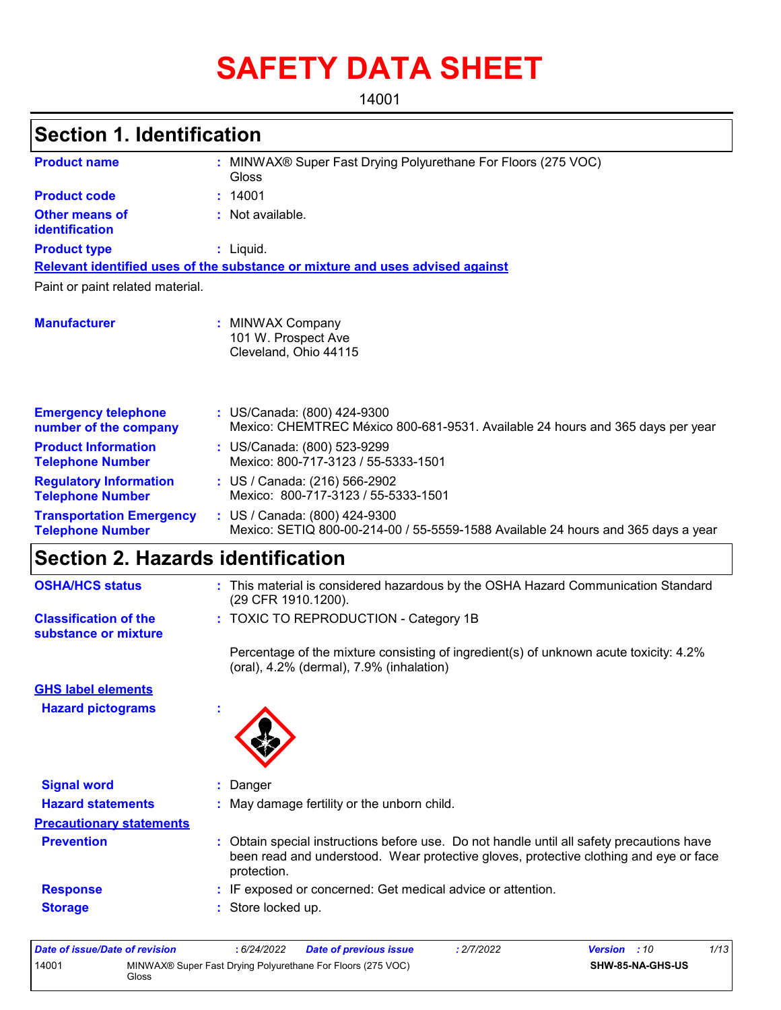# **SAFETY DATA SHEET**

14001

# **Section 1. Identification**

| <b>Product name</b>                                        | MINWAX® Super Fast Drying Polyurethane For Floors (275 VOC)<br>Gloss                                               |  |  |  |
|------------------------------------------------------------|--------------------------------------------------------------------------------------------------------------------|--|--|--|
| <b>Product code</b>                                        | : 14001                                                                                                            |  |  |  |
| <b>Other means of</b><br>identification                    | : Not available.                                                                                                   |  |  |  |
| <b>Product type</b>                                        | $:$ Liquid.                                                                                                        |  |  |  |
|                                                            | Relevant identified uses of the substance or mixture and uses advised against                                      |  |  |  |
| Paint or paint related material.                           |                                                                                                                    |  |  |  |
| <b>Manufacturer</b>                                        | <b>MINWAX Company</b><br>101 W. Prospect Ave<br>Cleveland, Ohio 44115                                              |  |  |  |
| <b>Emergency telephone</b><br>number of the company        | : US/Canada: (800) 424-9300<br>Mexico: CHEMTREC México 800-681-9531. Available 24 hours and 365 days per year      |  |  |  |
| <b>Product Information</b><br><b>Telephone Number</b>      | : US/Canada: (800) 523-9299<br>Mexico: 800-717-3123 / 55-5333-1501                                                 |  |  |  |
| <b>Regulatory Information</b><br><b>Telephone Number</b>   | : US / Canada: (216) 566-2902<br>Mexico: 800-717-3123 / 55-5333-1501                                               |  |  |  |
| <b>Transportation Emergency</b><br><b>Telephone Number</b> | : US / Canada: (800) 424-9300<br>Mexico: SETIQ 800-00-214-00 / 55-5559-1588 Available 24 hours and 365 days a year |  |  |  |

# **Section 2. Hazards identification**

| <b>OSHA/HCS status</b>                               | This material is considered hazardous by the OSHA Hazard Communication Standard<br>(29 CFR 1910.1200).                                                                                                |
|------------------------------------------------------|-------------------------------------------------------------------------------------------------------------------------------------------------------------------------------------------------------|
| <b>Classification of the</b><br>substance or mixture | : TOXIC TO REPRODUCTION - Category 1B                                                                                                                                                                 |
|                                                      | Percentage of the mixture consisting of ingredient(s) of unknown acute toxicity: 4.2%<br>$(oral), 4.2% (dermal), 7.9% (inhalation)$                                                                   |
| <b>GHS label elements</b>                            |                                                                                                                                                                                                       |
| <b>Hazard pictograms</b>                             |                                                                                                                                                                                                       |
|                                                      |                                                                                                                                                                                                       |
| <b>Signal word</b>                                   | : Danger                                                                                                                                                                                              |
| <b>Hazard statements</b>                             | : May damage fertility or the unborn child.                                                                                                                                                           |
| <b>Precautionary statements</b>                      |                                                                                                                                                                                                       |
| <b>Prevention</b>                                    | Obtain special instructions before use. Do not handle until all safety precautions have<br>t.<br>been read and understood. Wear protective gloves, protective clothing and eye or face<br>protection. |
| <b>Response</b>                                      | : IF exposed or concerned: Get medical advice or attention.                                                                                                                                           |
| <b>Storage</b>                                       | : Store locked up.                                                                                                                                                                                    |
|                                                      |                                                                                                                                                                                                       |

| Date of issue/Date of revision |                                                                      | 6/24/2022 | <b>Date of previous issue</b> | : 2/7/2022 | <b>Version</b> : 10     | 1/13 |
|--------------------------------|----------------------------------------------------------------------|-----------|-------------------------------|------------|-------------------------|------|
| 14001                          | MINWAX® Super Fast Drying Polyurethane For Floors (275 VOC)<br>Gloss |           |                               |            | <b>SHW-85-NA-GHS-US</b> |      |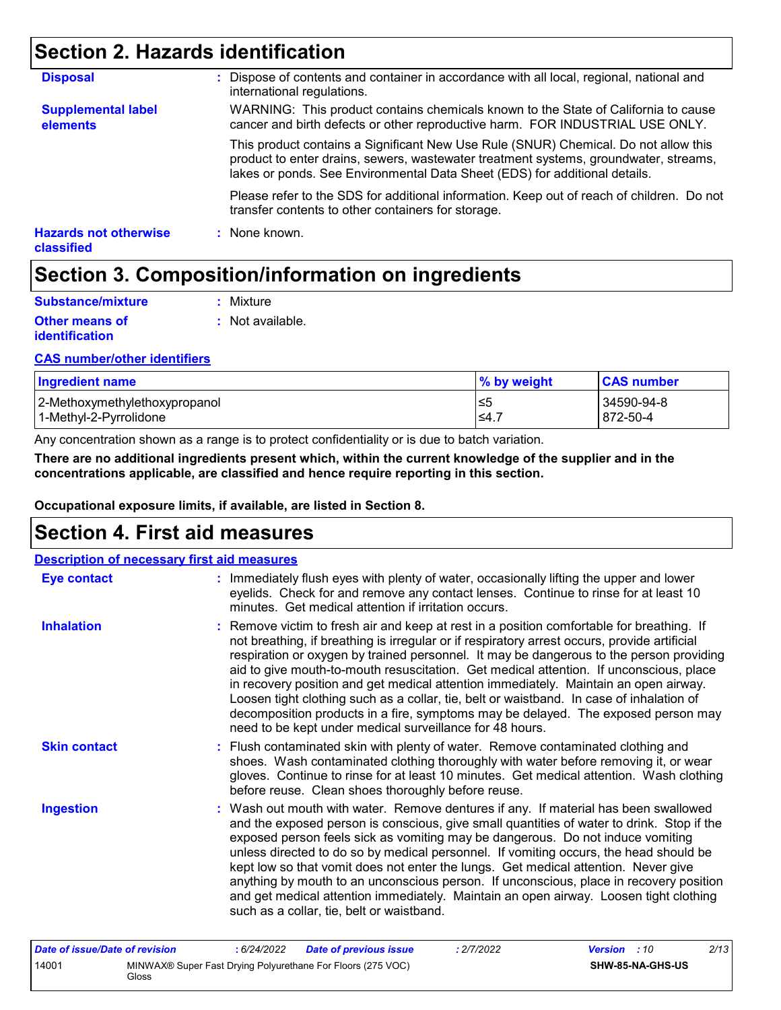# **Section 2. Hazards identification**

| <b>Hazards not otherwise</b><br><b>classified</b> | : None known.                                                                                                                                                                                                                                             |
|---------------------------------------------------|-----------------------------------------------------------------------------------------------------------------------------------------------------------------------------------------------------------------------------------------------------------|
|                                                   | Please refer to the SDS for additional information. Keep out of reach of children. Do not<br>transfer contents to other containers for storage.                                                                                                           |
|                                                   | This product contains a Significant New Use Rule (SNUR) Chemical. Do not allow this<br>product to enter drains, sewers, wastewater treatment systems, groundwater, streams,<br>lakes or ponds. See Environmental Data Sheet (EDS) for additional details. |
| <b>Supplemental label</b><br>elements             | WARNING: This product contains chemicals known to the State of California to cause<br>cancer and birth defects or other reproductive harm. FOR INDUSTRIAL USE ONLY.                                                                                       |
| <b>Disposal</b>                                   | : Dispose of contents and container in accordance with all local, regional, national and<br>international regulations.                                                                                                                                    |

# **Section 3. Composition/information on ingredients**

| Substance/mixture                       | : Mixture        |
|-----------------------------------------|------------------|
| <b>Other means of</b><br>identification | : Not available. |

### **CAS number/other identifiers**

| <b>Ingredient name</b>        | % by weight | <b>CAS number</b> |
|-------------------------------|-------------|-------------------|
| 2-Methoxymethylethoxypropanol | ≤5          | 34590-94-8        |
| l 1-Methvl-2-Pvrrolidone_     | $\leq 4$ .  | 872-50-4          |

Any concentration shown as a range is to protect confidentiality or is due to batch variation.

**There are no additional ingredients present which, within the current knowledge of the supplier and in the concentrations applicable, are classified and hence require reporting in this section.**

**Occupational exposure limits, if available, are listed in Section 8.**

# **Section 4. First aid measures**

| <b>Description of necessary first aid measures</b> |                                                                                                                                                                                                                                                                                                                                                                                                                                                                                                                                                                                                                                                                                                                     |
|----------------------------------------------------|---------------------------------------------------------------------------------------------------------------------------------------------------------------------------------------------------------------------------------------------------------------------------------------------------------------------------------------------------------------------------------------------------------------------------------------------------------------------------------------------------------------------------------------------------------------------------------------------------------------------------------------------------------------------------------------------------------------------|
| <b>Eye contact</b>                                 | : Immediately flush eyes with plenty of water, occasionally lifting the upper and lower<br>eyelids. Check for and remove any contact lenses. Continue to rinse for at least 10<br>minutes. Get medical attention if irritation occurs.                                                                                                                                                                                                                                                                                                                                                                                                                                                                              |
| <b>Inhalation</b>                                  | : Remove victim to fresh air and keep at rest in a position comfortable for breathing. If<br>not breathing, if breathing is irregular or if respiratory arrest occurs, provide artificial<br>respiration or oxygen by trained personnel. It may be dangerous to the person providing<br>aid to give mouth-to-mouth resuscitation. Get medical attention. If unconscious, place<br>in recovery position and get medical attention immediately. Maintain an open airway.<br>Loosen tight clothing such as a collar, tie, belt or waistband. In case of inhalation of<br>decomposition products in a fire, symptoms may be delayed. The exposed person may<br>need to be kept under medical surveillance for 48 hours. |
| <b>Skin contact</b>                                | : Flush contaminated skin with plenty of water. Remove contaminated clothing and<br>shoes. Wash contaminated clothing thoroughly with water before removing it, or wear<br>gloves. Continue to rinse for at least 10 minutes. Get medical attention. Wash clothing<br>before reuse. Clean shoes thoroughly before reuse.                                                                                                                                                                                                                                                                                                                                                                                            |
| <b>Ingestion</b>                                   | : Wash out mouth with water. Remove dentures if any. If material has been swallowed<br>and the exposed person is conscious, give small quantities of water to drink. Stop if the<br>exposed person feels sick as vomiting may be dangerous. Do not induce vomiting<br>unless directed to do so by medical personnel. If vomiting occurs, the head should be<br>kept low so that vomit does not enter the lungs. Get medical attention. Never give<br>anything by mouth to an unconscious person. If unconscious, place in recovery position<br>and get medical attention immediately. Maintain an open airway. Loosen tight clothing<br>such as a collar, tie, belt or waistband.                                   |
| Data of incura/Data of variation                   | 0/42<br>$6/0$ $1/0000$<br>0/7/0000<br>$\frac{1}{2}$<br>Data of againstaire issue                                                                                                                                                                                                                                                                                                                                                                                                                                                                                                                                                                                                                                    |

| Date of issue/Date of revision |       | 6/24/2022 | Date of previous issue                                      | : 2/7/2022 | <b>Version</b> : 10 |                  | 2/13 |
|--------------------------------|-------|-----------|-------------------------------------------------------------|------------|---------------------|------------------|------|
| 14001                          | Gloss |           | MINWAX® Super Fast Drying Polyurethane For Floors (275 VOC) |            |                     | SHW-85-NA-GHS-US |      |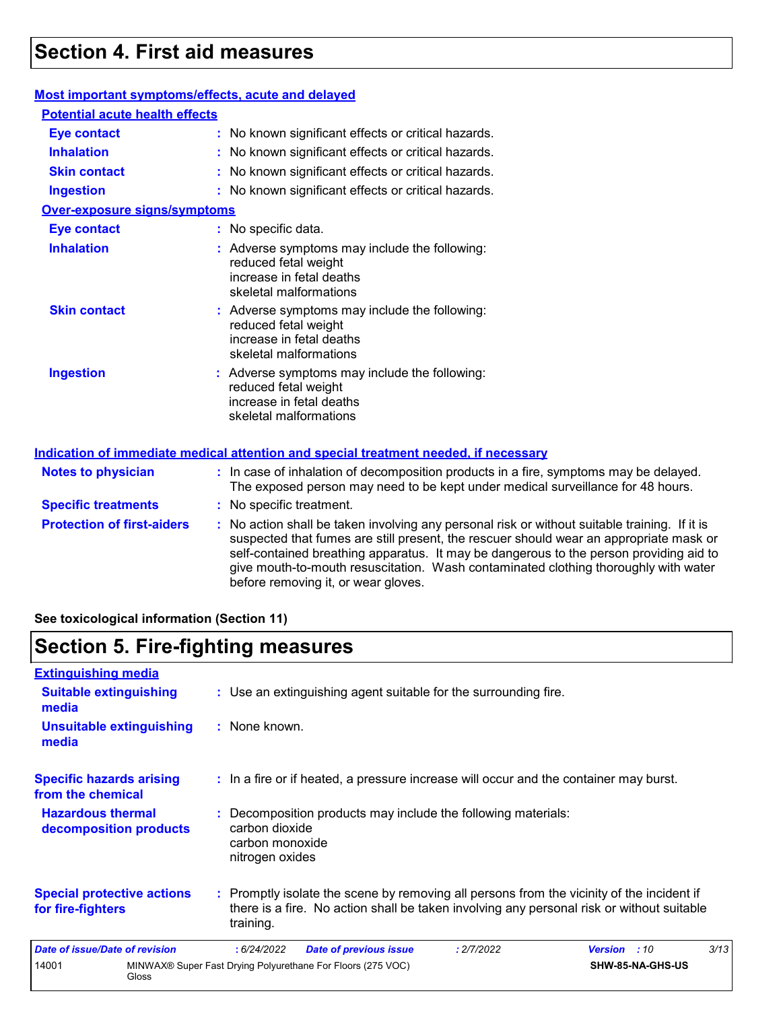# **Section 4. First aid measures**

### **Most important symptoms/effects, acute and delayed**

| <b>Potential acute health effects</b> |                                                                                                                                                                          |
|---------------------------------------|--------------------------------------------------------------------------------------------------------------------------------------------------------------------------|
| <b>Eye contact</b>                    | : No known significant effects or critical hazards.                                                                                                                      |
| <b>Inhalation</b>                     | : No known significant effects or critical hazards.                                                                                                                      |
| <b>Skin contact</b>                   | : No known significant effects or critical hazards.                                                                                                                      |
| <b>Ingestion</b>                      | : No known significant effects or critical hazards.                                                                                                                      |
| <b>Over-exposure signs/symptoms</b>   |                                                                                                                                                                          |
| <b>Eye contact</b>                    | : No specific data.                                                                                                                                                      |
| <b>Inhalation</b>                     | : Adverse symptoms may include the following:<br>reduced fetal weight<br>increase in fetal deaths<br>skeletal malformations                                              |
| <b>Skin contact</b>                   | : Adverse symptoms may include the following:<br>reduced fetal weight<br>increase in fetal deaths<br>skeletal malformations                                              |
| <b>Ingestion</b>                      | : Adverse symptoms may include the following:<br>reduced fetal weight<br>increase in fetal deaths<br>skeletal malformations                                              |
|                                       | Indication of immediate medical attention and special treatment needed, if necessary                                                                                     |
| <b>Notes to physician</b>             | : In case of inhalation of decomposition products in a fire, symptoms may be delayed.<br>The exposed person may need to be kept under medical surveillance for 48 hours. |
| <b>Specific treatments</b>            | : No specific treatment.                                                                                                                                                 |
| <b>Drotoction of first-siders</b>     | . No action shall be taken involving any personal risk or without suitable training. If it i                                                                             |

**ptection of first-aiders :** No action shall be taken involving any personal risk or without suitable training. If it is suspected that fumes are still present, the rescuer should wear an appropriate mask or self-contained breathing apparatus. It may be dangerous to the person providing aid to give mouth-to-mouth resuscitation. Wash contaminated clothing thoroughly with water before removing it, or wear gloves.

**See toxicological information (Section 11)**

### **Section 5. Fire-fighting measures**

| <b>Extinguishing media</b>                             |                                                                                                                                                                                                     |
|--------------------------------------------------------|-----------------------------------------------------------------------------------------------------------------------------------------------------------------------------------------------------|
| <b>Suitable extinguishing</b><br>media                 | : Use an extinguishing agent suitable for the surrounding fire.                                                                                                                                     |
| <b>Unsuitable extinguishing</b><br>media               | : None known.                                                                                                                                                                                       |
| <b>Specific hazards arising</b><br>from the chemical   | : In a fire or if heated, a pressure increase will occur and the container may burst.                                                                                                               |
| <b>Hazardous thermal</b><br>decomposition products     | : Decomposition products may include the following materials:<br>carbon dioxide<br>carbon monoxide<br>nitrogen oxides                                                                               |
| <b>Special protective actions</b><br>for fire-fighters | : Promptly isolate the scene by removing all persons from the vicinity of the incident if<br>there is a fire. No action shall be taken involving any personal risk or without suitable<br>training. |
| Date of issue/Date of revision                         | 3/13<br>: 6/24/2022<br><b>Date of previous issue</b><br>: 2/7/2022<br><b>Version</b> : 10                                                                                                           |
| 14001<br>Gloss                                         | MINWAX® Super Fast Drying Polyurethane For Floors (275 VOC)<br>SHW-85-NA-GHS-US                                                                                                                     |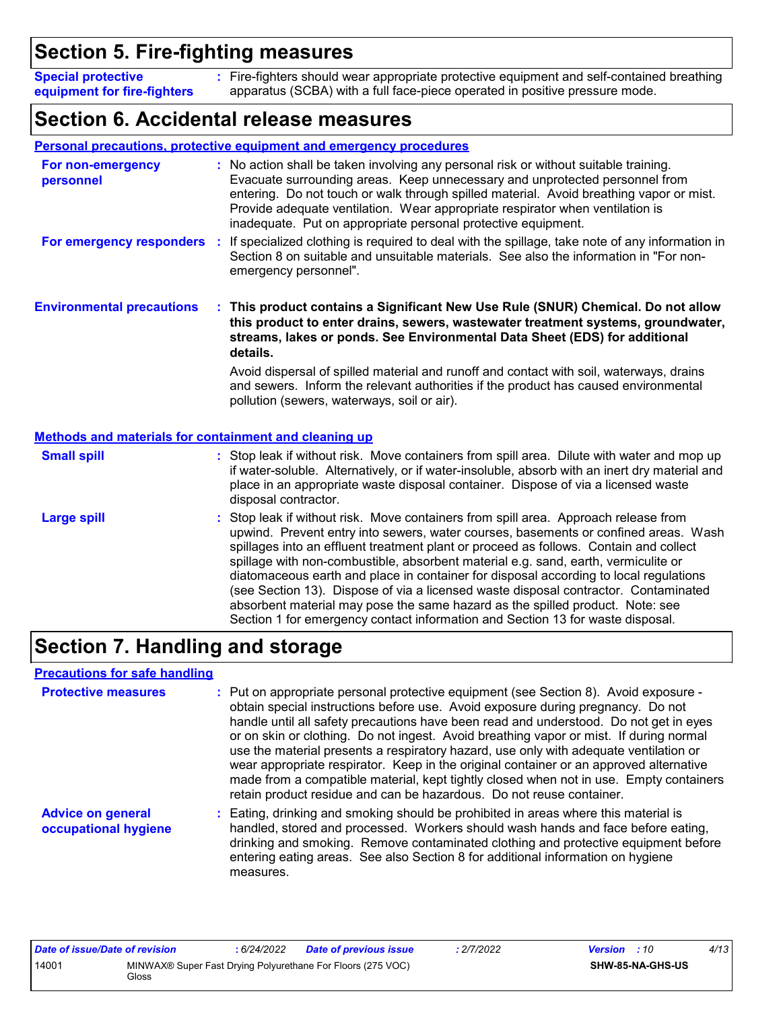# **Section 5. Fire-fighting measures**

Fire-fighters should wear appropriate protective equipment and self-contained breathing **:** apparatus (SCBA) with a full face-piece operated in positive pressure mode. **Special protective equipment for fire-fighters**

# **Section 6. Accidental release measures**

|                                                              | <b>Personal precautions, protective equipment and emergency procedures</b>                                                                                                                                                                                                                                                                                                                                                                                                                                                                                                                                                                                                                                 |
|--------------------------------------------------------------|------------------------------------------------------------------------------------------------------------------------------------------------------------------------------------------------------------------------------------------------------------------------------------------------------------------------------------------------------------------------------------------------------------------------------------------------------------------------------------------------------------------------------------------------------------------------------------------------------------------------------------------------------------------------------------------------------------|
| For non-emergency<br>personnel                               | : No action shall be taken involving any personal risk or without suitable training.<br>Evacuate surrounding areas. Keep unnecessary and unprotected personnel from<br>entering. Do not touch or walk through spilled material. Avoid breathing vapor or mist.<br>Provide adequate ventilation. Wear appropriate respirator when ventilation is<br>inadequate. Put on appropriate personal protective equipment.                                                                                                                                                                                                                                                                                           |
| For emergency responders                                     | : If specialized clothing is required to deal with the spillage, take note of any information in<br>Section 8 on suitable and unsuitable materials. See also the information in "For non-<br>emergency personnel".                                                                                                                                                                                                                                                                                                                                                                                                                                                                                         |
| <b>Environmental precautions</b>                             | : This product contains a Significant New Use Rule (SNUR) Chemical. Do not allow<br>this product to enter drains, sewers, wastewater treatment systems, groundwater,<br>streams, lakes or ponds. See Environmental Data Sheet (EDS) for additional<br>details.                                                                                                                                                                                                                                                                                                                                                                                                                                             |
|                                                              | Avoid dispersal of spilled material and runoff and contact with soil, waterways, drains<br>and sewers. Inform the relevant authorities if the product has caused environmental<br>pollution (sewers, waterways, soil or air).                                                                                                                                                                                                                                                                                                                                                                                                                                                                              |
| <b>Methods and materials for containment and cleaning up</b> |                                                                                                                                                                                                                                                                                                                                                                                                                                                                                                                                                                                                                                                                                                            |
| <b>Small spill</b>                                           | : Stop leak if without risk. Move containers from spill area. Dilute with water and mop up<br>if water-soluble. Alternatively, or if water-insoluble, absorb with an inert dry material and<br>place in an appropriate waste disposal container. Dispose of via a licensed waste<br>disposal contractor.                                                                                                                                                                                                                                                                                                                                                                                                   |
| <b>Large spill</b>                                           | Stop leak if without risk. Move containers from spill area. Approach release from<br>upwind. Prevent entry into sewers, water courses, basements or confined areas. Wash<br>spillages into an effluent treatment plant or proceed as follows. Contain and collect<br>spillage with non-combustible, absorbent material e.g. sand, earth, vermiculite or<br>diatomaceous earth and place in container for disposal according to local regulations<br>(see Section 13). Dispose of via a licensed waste disposal contractor. Contaminated<br>absorbent material may pose the same hazard as the spilled product. Note: see<br>Section 1 for emergency contact information and Section 13 for waste disposal. |

# **Section 7. Handling and storage**

### **Precautions for safe handling**

| <b>Protective measures</b>                       | : Put on appropriate personal protective equipment (see Section 8). Avoid exposure -<br>obtain special instructions before use. Avoid exposure during pregnancy. Do not<br>handle until all safety precautions have been read and understood. Do not get in eyes<br>or on skin or clothing. Do not ingest. Avoid breathing vapor or mist. If during normal<br>use the material presents a respiratory hazard, use only with adequate ventilation or<br>wear appropriate respirator. Keep in the original container or an approved alternative<br>made from a compatible material, kept tightly closed when not in use. Empty containers<br>retain product residue and can be hazardous. Do not reuse container. |
|--------------------------------------------------|-----------------------------------------------------------------------------------------------------------------------------------------------------------------------------------------------------------------------------------------------------------------------------------------------------------------------------------------------------------------------------------------------------------------------------------------------------------------------------------------------------------------------------------------------------------------------------------------------------------------------------------------------------------------------------------------------------------------|
| <b>Advice on general</b><br>occupational hygiene | : Eating, drinking and smoking should be prohibited in areas where this material is<br>handled, stored and processed. Workers should wash hands and face before eating,<br>drinking and smoking. Remove contaminated clothing and protective equipment before<br>entering eating areas. See also Section 8 for additional information on hygiene<br>measures.                                                                                                                                                                                                                                                                                                                                                   |

| Date of issue/Date of revision |       | : 6/24/2022 | <b>Date of previous issue</b>                               | : 2/7/2022 | <b>Version</b> : 10 |                         | 4/13 |
|--------------------------------|-------|-------------|-------------------------------------------------------------|------------|---------------------|-------------------------|------|
| 14001                          | Gloss |             | MINWAX® Super Fast Drying Polyurethane For Floors (275 VOC) |            |                     | <b>SHW-85-NA-GHS-US</b> |      |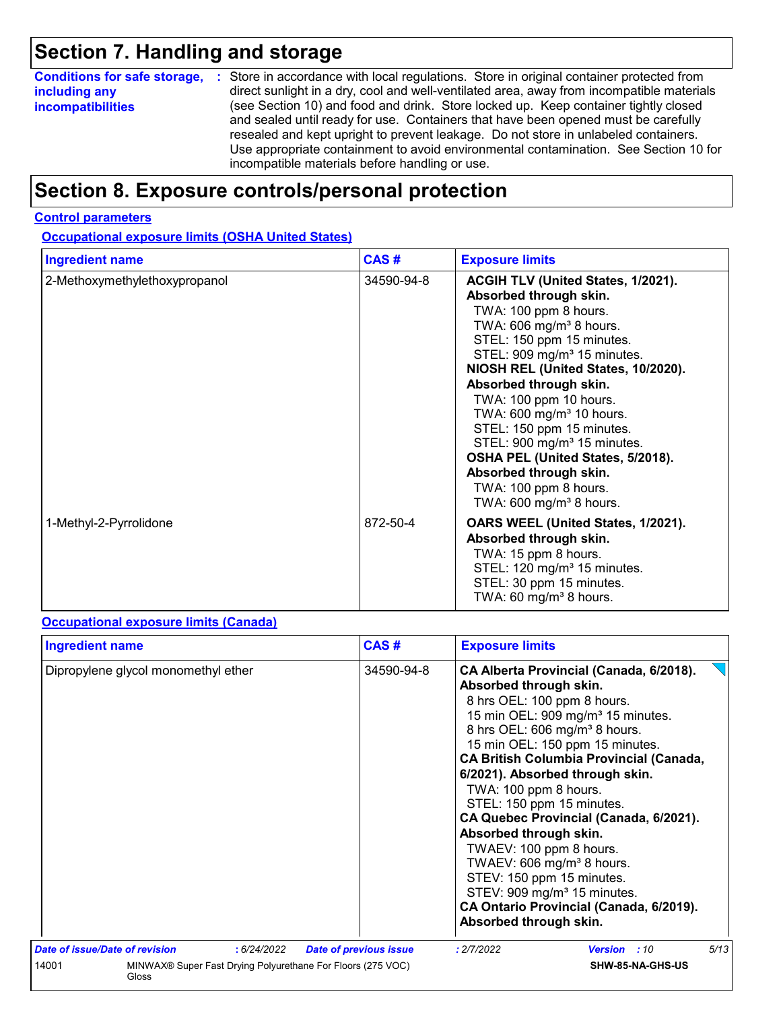# **Section 7. Handling and storage**

| <b>Conditions for safe storage,</b> | : Store in accordance with local regulations. Store in original container protected from                                                                                                                                                                                                                                                                                                                   |
|-------------------------------------|------------------------------------------------------------------------------------------------------------------------------------------------------------------------------------------------------------------------------------------------------------------------------------------------------------------------------------------------------------------------------------------------------------|
| including any                       | direct sunlight in a dry, cool and well-ventilated area, away from incompatible materials                                                                                                                                                                                                                                                                                                                  |
| <i>incompatibilities</i>            | (see Section 10) and food and drink. Store locked up. Keep container tightly closed<br>and sealed until ready for use. Containers that have been opened must be carefully<br>resealed and kept upright to prevent leakage. Do not store in unlabeled containers.<br>Use appropriate containment to avoid environmental contamination. See Section 10 for<br>incompatible materials before handling or use. |

# **Section 8. Exposure controls/personal protection**

### **Control parameters**

**Occupational exposure limits (OSHA United States)**

| <b>Ingredient name</b>        | CAS#       | <b>Exposure limits</b>                                                                                                                                                                                                                                                                                                                                                                                                                                                                                                                         |
|-------------------------------|------------|------------------------------------------------------------------------------------------------------------------------------------------------------------------------------------------------------------------------------------------------------------------------------------------------------------------------------------------------------------------------------------------------------------------------------------------------------------------------------------------------------------------------------------------------|
| 2-Methoxymethylethoxypropanol | 34590-94-8 | ACGIH TLV (United States, 1/2021).<br>Absorbed through skin.<br>TWA: 100 ppm 8 hours.<br>TWA: 606 mg/m <sup>3</sup> 8 hours.<br>STEL: 150 ppm 15 minutes.<br>STEL: 909 mg/m <sup>3</sup> 15 minutes.<br>NIOSH REL (United States, 10/2020).<br>Absorbed through skin.<br>TWA: 100 ppm 10 hours.<br>TWA: 600 mg/m <sup>3</sup> 10 hours.<br>STEL: 150 ppm 15 minutes.<br>STEL: 900 mg/m <sup>3</sup> 15 minutes.<br>OSHA PEL (United States, 5/2018).<br>Absorbed through skin.<br>TWA: 100 ppm 8 hours.<br>TWA: 600 mg/m <sup>3</sup> 8 hours. |
| 1-Methyl-2-Pyrrolidone        | 872-50-4   | OARS WEEL (United States, 1/2021).<br>Absorbed through skin.<br>TWA: 15 ppm 8 hours.<br>STEL: 120 mg/m <sup>3</sup> 15 minutes.<br>STEL: 30 ppm 15 minutes.<br>TWA: 60 mg/m <sup>3</sup> 8 hours.                                                                                                                                                                                                                                                                                                                                              |

### **Occupational exposure limits (Canada)**

| <b>Ingredient name</b>              |             | CAS#                                                        | <b>Exposure limits</b>                                                                                                                                                                                                                                                                                                                                                                                                         |                                                                                                                                                                                                                                 |      |
|-------------------------------------|-------------|-------------------------------------------------------------|--------------------------------------------------------------------------------------------------------------------------------------------------------------------------------------------------------------------------------------------------------------------------------------------------------------------------------------------------------------------------------------------------------------------------------|---------------------------------------------------------------------------------------------------------------------------------------------------------------------------------------------------------------------------------|------|
| Dipropylene glycol monomethyl ether |             | 34590-94-8                                                  | Absorbed through skin.<br>8 hrs OEL: 100 ppm 8 hours.<br>8 hrs OEL: 606 mg/m <sup>3</sup> 8 hours.<br>15 min OEL: 150 ppm 15 minutes.<br>6/2021). Absorbed through skin.<br>TWA: 100 ppm 8 hours.<br>STEL: 150 ppm 15 minutes.<br>Absorbed through skin.<br>TWAEV: 100 ppm 8 hours.<br>TWAEV: 606 mg/m <sup>3</sup> 8 hours.<br>STEV: 150 ppm 15 minutes.<br>STEV: 909 mg/m <sup>3</sup> 15 minutes.<br>Absorbed through skin. | CA Alberta Provincial (Canada, 6/2018).<br>15 min OEL: 909 mg/m <sup>3</sup> 15 minutes.<br><b>CA British Columbia Provincial (Canada,</b><br>CA Quebec Provincial (Canada, 6/2021).<br>CA Ontario Provincial (Canada, 6/2019). |      |
| Date of issue/Date of revision      | : 6/24/2022 | <b>Date of previous issue</b>                               | : 2/7/2022                                                                                                                                                                                                                                                                                                                                                                                                                     | <b>Version</b> : 10                                                                                                                                                                                                             | 5/13 |
| 14001<br>Gloss                      |             | MINWAX® Super Fast Drying Polyurethane For Floors (275 VOC) |                                                                                                                                                                                                                                                                                                                                                                                                                                | SHW-85-NA-GHS-US                                                                                                                                                                                                                |      |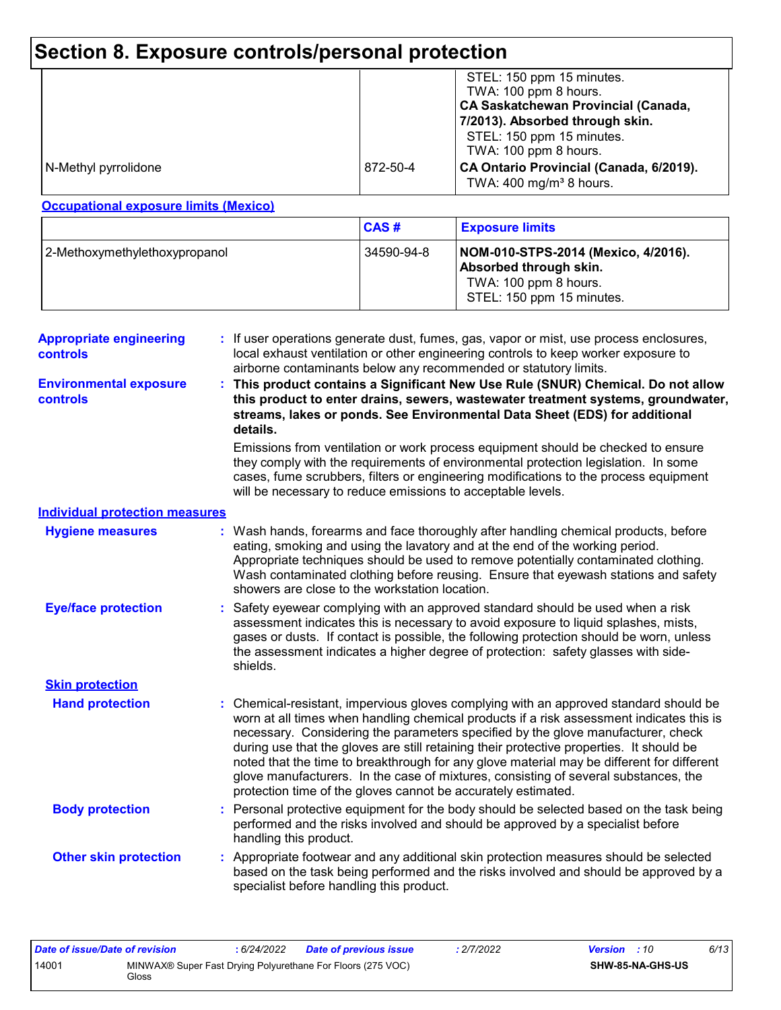# **Section 8. Exposure controls/personal protection**

|                      |          | STEL: 150 ppm 15 minutes.<br>TWA: 100 ppm 8 hours.<br><b>CA Saskatchewan Provincial (Canada,</b><br>7/2013). Absorbed through skin.<br>STEL: 150 ppm 15 minutes.<br>TWA: 100 ppm 8 hours. |
|----------------------|----------|-------------------------------------------------------------------------------------------------------------------------------------------------------------------------------------------|
| N-Methyl pyrrolidone | 872-50-4 | CA Ontario Provincial (Canada, 6/2019).<br>TWA: $400 \text{ mg/m}^3$ 8 hours.                                                                                                             |

### **Occupational exposure limits (Mexico)**

|                               | CAS#       | <b>Exposure limits</b>                                                                                              |
|-------------------------------|------------|---------------------------------------------------------------------------------------------------------------------|
| 2-Methoxymethylethoxypropanol | 34590-94-8 | NOM-010-STPS-2014 (Mexico, 4/2016).<br>Absorbed through skin.<br>TWA: 100 ppm 8 hours.<br>STEL: 150 ppm 15 minutes. |

| <b>Appropriate engineering</b><br>controls |    | : If user operations generate dust, fumes, gas, vapor or mist, use process enclosures,<br>local exhaust ventilation or other engineering controls to keep worker exposure to<br>airborne contaminants below any recommended or statutory limits.                                                                                                                                                                                                                                                                                                                                                                     |
|--------------------------------------------|----|----------------------------------------------------------------------------------------------------------------------------------------------------------------------------------------------------------------------------------------------------------------------------------------------------------------------------------------------------------------------------------------------------------------------------------------------------------------------------------------------------------------------------------------------------------------------------------------------------------------------|
| <b>Environmental exposure</b><br>controls  |    | This product contains a Significant New Use Rule (SNUR) Chemical. Do not allow<br>this product to enter drains, sewers, wastewater treatment systems, groundwater,<br>streams, lakes or ponds. See Environmental Data Sheet (EDS) for additional<br>details.                                                                                                                                                                                                                                                                                                                                                         |
|                                            |    | Emissions from ventilation or work process equipment should be checked to ensure<br>they comply with the requirements of environmental protection legislation. In some<br>cases, fume scrubbers, filters or engineering modifications to the process equipment<br>will be necessary to reduce emissions to acceptable levels.                                                                                                                                                                                                                                                                                        |
| <b>Individual protection measures</b>      |    |                                                                                                                                                                                                                                                                                                                                                                                                                                                                                                                                                                                                                      |
| <b>Hygiene measures</b>                    |    | : Wash hands, forearms and face thoroughly after handling chemical products, before<br>eating, smoking and using the lavatory and at the end of the working period.<br>Appropriate techniques should be used to remove potentially contaminated clothing.<br>Wash contaminated clothing before reusing. Ensure that eyewash stations and safety<br>showers are close to the workstation location.                                                                                                                                                                                                                    |
| <b>Eye/face protection</b>                 |    | Safety eyewear complying with an approved standard should be used when a risk<br>assessment indicates this is necessary to avoid exposure to liquid splashes, mists,<br>gases or dusts. If contact is possible, the following protection should be worn, unless<br>the assessment indicates a higher degree of protection: safety glasses with side-<br>shields.                                                                                                                                                                                                                                                     |
| <b>Skin protection</b>                     |    |                                                                                                                                                                                                                                                                                                                                                                                                                                                                                                                                                                                                                      |
| <b>Hand protection</b>                     |    | Chemical-resistant, impervious gloves complying with an approved standard should be<br>worn at all times when handling chemical products if a risk assessment indicates this is<br>necessary. Considering the parameters specified by the glove manufacturer, check<br>during use that the gloves are still retaining their protective properties. It should be<br>noted that the time to breakthrough for any glove material may be different for different<br>glove manufacturers. In the case of mixtures, consisting of several substances, the<br>protection time of the gloves cannot be accurately estimated. |
| <b>Body protection</b>                     | ÷. | Personal protective equipment for the body should be selected based on the task being<br>performed and the risks involved and should be approved by a specialist before<br>handling this product.                                                                                                                                                                                                                                                                                                                                                                                                                    |
| <b>Other skin protection</b>               |    | : Appropriate footwear and any additional skin protection measures should be selected<br>based on the task being performed and the risks involved and should be approved by a<br>specialist before handling this product.                                                                                                                                                                                                                                                                                                                                                                                            |

| Date of issue/Date of revision |       | 6/24/2022 | <b>Date of previous issue</b>                               | : 2/7/2022 | <b>Version</b> : 10 |                         | 6/13 |
|--------------------------------|-------|-----------|-------------------------------------------------------------|------------|---------------------|-------------------------|------|
| 14001                          | Gloss |           | MINWAX® Super Fast Drying Polyurethane For Floors (275 VOC) |            |                     | <b>SHW-85-NA-GHS-US</b> |      |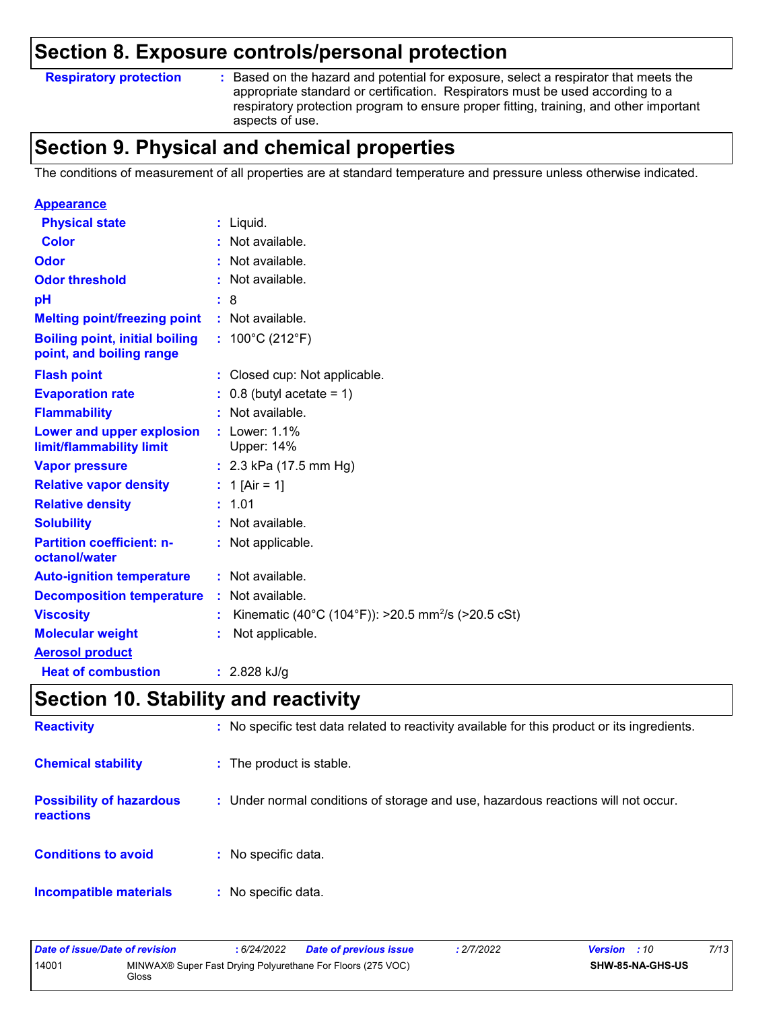### **Section 8. Exposure controls/personal protection**

### **Respiratory protection :**

: Based on the hazard and potential for exposure, select a respirator that meets the appropriate standard or certification. Respirators must be used according to a respiratory protection program to ensure proper fitting, training, and other important aspects of use.

# **Section 9. Physical and chemical properties**

The conditions of measurement of all properties are at standard temperature and pressure unless otherwise indicated.

| <b>Appearance</b>                                                 |                                                                |
|-------------------------------------------------------------------|----------------------------------------------------------------|
| <b>Physical state</b>                                             | $:$ Liquid.                                                    |
| <b>Color</b>                                                      | : Not available.                                               |
| Odor                                                              | : Not available.                                               |
| <b>Odor threshold</b>                                             | Not available.                                                 |
| рH                                                                | : 8                                                            |
| <b>Melting point/freezing point</b>                               | : Not available.                                               |
| <b>Boiling point, initial boiling</b><br>point, and boiling range | : $100^{\circ}$ C (212 $^{\circ}$ F)                           |
| <b>Flash point</b>                                                | : Closed cup: Not applicable.                                  |
| <b>Evaporation rate</b>                                           | $: 0.8$ (butyl acetate = 1)                                    |
| <b>Flammability</b>                                               | : Not available.                                               |
| Lower and upper explosion<br>limit/flammability limit             | $:$ Lower: 1.1%<br>Upper: 14%                                  |
| <b>Vapor pressure</b>                                             | : $2.3$ kPa (17.5 mm Hg)                                       |
| <b>Relative vapor density</b>                                     | : 1 [Air = 1]                                                  |
| <b>Relative density</b>                                           | : 1.01                                                         |
| <b>Solubility</b>                                                 | : Not available.                                               |
| <b>Partition coefficient: n-</b><br>octanol/water                 | : Not applicable.                                              |
| <b>Auto-ignition temperature</b>                                  | : Not available.                                               |
| <b>Decomposition temperature</b>                                  | : Not available.                                               |
| <b>Viscosity</b>                                                  | Kinematic (40°C (104°F)): >20.5 mm <sup>2</sup> /s (>20.5 cSt) |
| <b>Molecular weight</b>                                           | Not applicable.                                                |
| <b>Aerosol product</b>                                            |                                                                |
| <b>Heat of combustion</b>                                         | : $2.828$ kJ/g                                                 |

# **Section 10. Stability and reactivity**

| <b>Reactivity</b>                            | : No specific test data related to reactivity available for this product or its ingredients. |
|----------------------------------------------|----------------------------------------------------------------------------------------------|
| <b>Chemical stability</b>                    | : The product is stable.                                                                     |
| <b>Possibility of hazardous</b><br>reactions | : Under normal conditions of storage and use, hazardous reactions will not occur.            |
| <b>Conditions to avoid</b>                   | : No specific data.                                                                          |
| <b>Incompatible materials</b>                | : No specific data.                                                                          |

| Date of issue/Date of revision |              | : 6/24/2022 | <b>Date of previous issue</b>                               | : 2/7/2022 | <b>Version</b> : 10 |                  | 7/13 |
|--------------------------------|--------------|-------------|-------------------------------------------------------------|------------|---------------------|------------------|------|
| 14001                          | <b>Gloss</b> |             | MINWAX® Super Fast Drying Polyurethane For Floors (275 VOC) |            |                     | SHW-85-NA-GHS-US |      |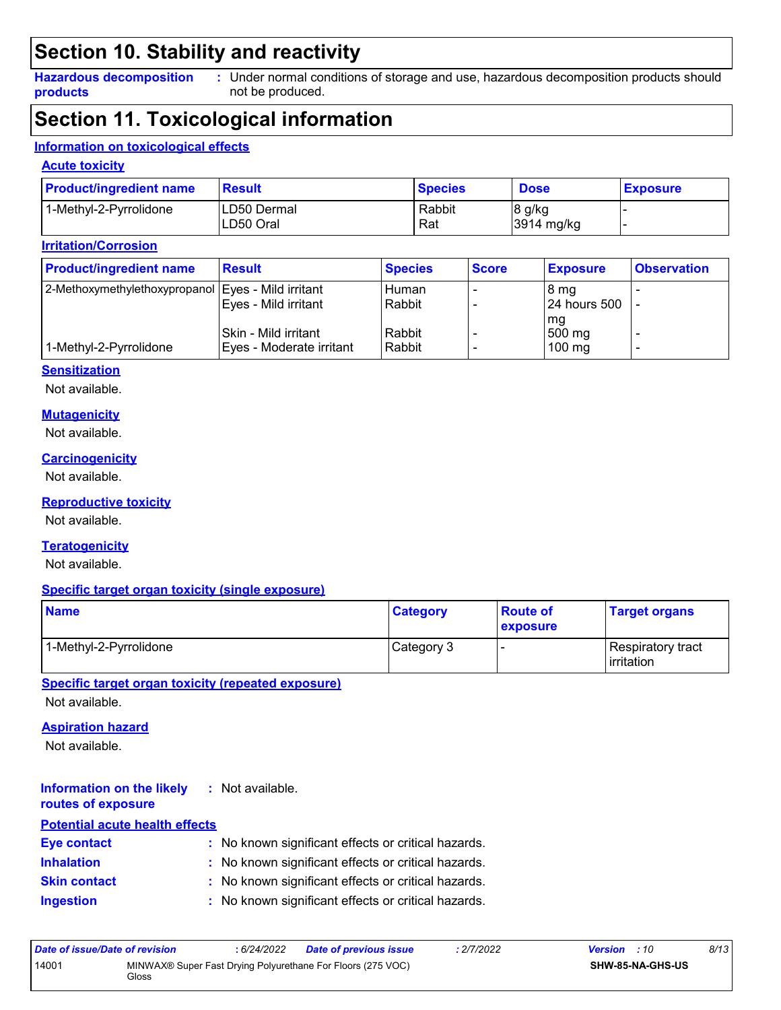# **Section 10. Stability and reactivity**

**Hazardous decomposition products**

Under normal conditions of storage and use, hazardous decomposition products should **:** not be produced.

# **Section 11. Toxicological information**

### **Information on toxicological effects**

### **Acute toxicity**

| <b>Product/ingredient name</b> | Result                   | <b>Species</b> | <b>Dose</b>          | <b>Exposure</b> |
|--------------------------------|--------------------------|----------------|----------------------|-----------------|
| 1-Methyl-2-Pyrrolidone         | LD50 Dermal<br>LD50 Oral | Rabbit<br>Rat  | 8 g/kg<br>3914 mg/kg |                 |

### **Irritation/Corrosion**

| <b>Product/ingredient name</b>                       | <b>Result</b>            | <b>Species</b> | <b>Score</b> | <b>Exposure</b>  | <b>Observation</b> |
|------------------------------------------------------|--------------------------|----------------|--------------|------------------|--------------------|
| 2-Methoxymethylethoxypropanol   Eyes - Mild irritant |                          | Human          |              | 8 mg             |                    |
|                                                      | Eyes - Mild irritant     | Rabbit         |              | 24 hours 500     |                    |
|                                                      |                          |                |              | l mg             |                    |
|                                                      | Skin - Mild irritant     | Rabbit         |              | 500 mg           |                    |
| 1-Methyl-2-Pyrrolidone                               | Eyes - Moderate irritant | Rabbit         |              | $100 \text{ mg}$ |                    |

#### **Sensitization**

Not available.

#### **Mutagenicity**

Not available.

### **Carcinogenicity**

Not available.

#### **Reproductive toxicity**

Not available.

### **Teratogenicity**

Not available.

### **Specific target organ toxicity (single exposure)**

| <b>Name</b>            | <b>Category</b> | ∣Route of<br><b>exposure</b> | <b>Target organs</b>                     |  |
|------------------------|-----------------|------------------------------|------------------------------------------|--|
| 1-Methyl-2-Pyrrolidone | Category 3      |                              | Respiratory tract<br><b>l</b> irritation |  |

**Specific target organ toxicity (repeated exposure)**

Not available.

### **Aspiration hazard**

Not available.

#### **Information on the likely routes of exposure :** Not available.

| <b>Potential acute health effects</b> |  |                                                     |  |  |  |  |  |
|---------------------------------------|--|-----------------------------------------------------|--|--|--|--|--|
| <b>Eye contact</b>                    |  | : No known significant effects or critical hazards. |  |  |  |  |  |
| <b>Inhalation</b>                     |  | : No known significant effects or critical hazards. |  |  |  |  |  |
| <b>Skin contact</b>                   |  | : No known significant effects or critical hazards. |  |  |  |  |  |
| <b>Ingestion</b>                      |  | : No known significant effects or critical hazards. |  |  |  |  |  |

| Date of issue/Date of revision |       | : 6/24/2022 | <b>Date of previous issue</b>                               | : 2/7/2022 | <b>Version</b> : 10 |                         | 8/13 |
|--------------------------------|-------|-------------|-------------------------------------------------------------|------------|---------------------|-------------------------|------|
| 14001                          | Gloss |             | MINWAX® Super Fast Drying Polyurethane For Floors (275 VOC) |            |                     | <b>SHW-85-NA-GHS-US</b> |      |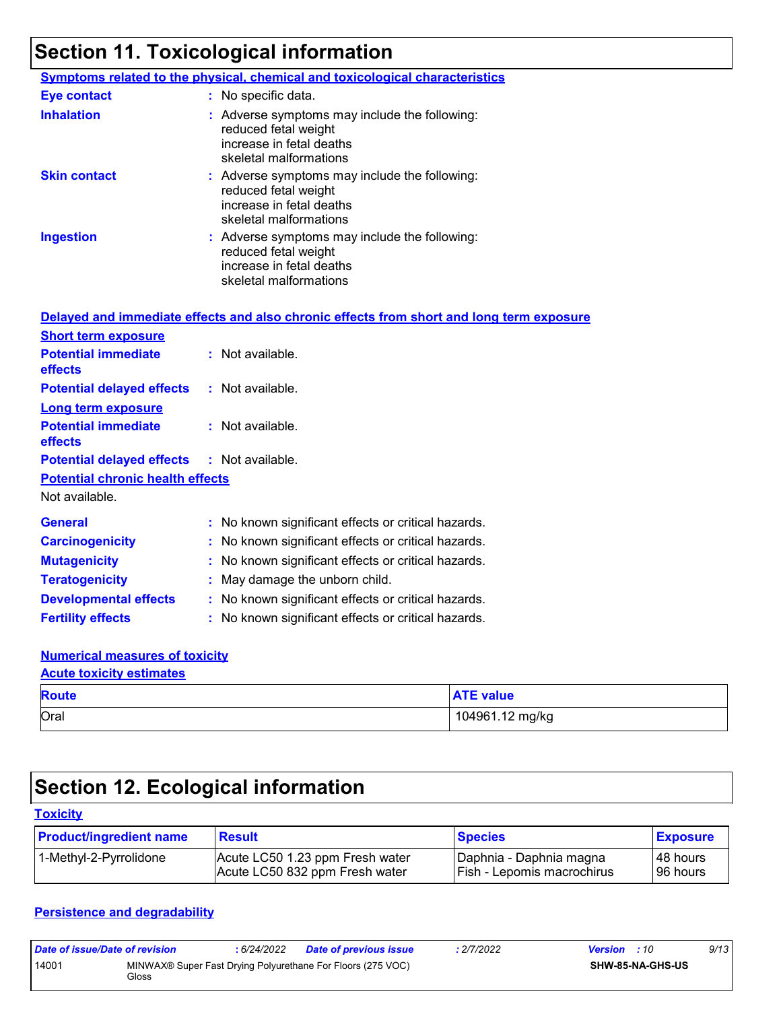# **Section 11. Toxicological information**

|                     | <b>Symptoms related to the physical, chemical and toxicological characteristics</b>                                         |
|---------------------|-----------------------------------------------------------------------------------------------------------------------------|
| <b>Eye contact</b>  | : No specific data.                                                                                                         |
| <b>Inhalation</b>   | : Adverse symptoms may include the following:<br>reduced fetal weight<br>increase in fetal deaths<br>skeletal malformations |
| <b>Skin contact</b> | : Adverse symptoms may include the following:<br>reduced fetal weight<br>increase in fetal deaths<br>skeletal malformations |
| <b>Ingestion</b>    | : Adverse symptoms may include the following:<br>reduced fetal weight<br>increase in fetal deaths<br>skeletal malformations |

|                                                   | Delayed and immediate effects and also chronic effects from short and long term exposure |
|---------------------------------------------------|------------------------------------------------------------------------------------------|
| <b>Short term exposure</b>                        |                                                                                          |
| <b>Potential immediate</b><br><b>effects</b>      | $:$ Not available.                                                                       |
| <b>Potential delayed effects : Not available.</b> |                                                                                          |
| <b>Long term exposure</b>                         |                                                                                          |
| <b>Potential immediate</b><br><b>effects</b>      | : Not available.                                                                         |
| <b>Potential delayed effects : Not available.</b> |                                                                                          |
| <b>Potential chronic health effects</b>           |                                                                                          |
| Not available.                                    |                                                                                          |
| <b>General</b>                                    | : No known significant effects or critical hazards.                                      |
| <b>Carcinogenicity</b>                            | : No known significant effects or critical hazards.                                      |
| <b>Mutagenicity</b>                               | : No known significant effects or critical hazards.                                      |
| <b>Teratogenicity</b>                             | $:$ May damage the unborn child.                                                         |
| <b>Developmental effects</b>                      | : No known significant effects or critical hazards.                                      |
| <b>Fertility effects</b>                          | : No known significant effects or critical hazards.                                      |

### **Numerical measures of toxicity**

## Oral 104961.12 mg/kg **Route ATE value Acute toxicity estimates**

# **Section 12. Ecological information**

### **Toxicity**

| <b>Product/ingredient name</b> | <b>Result</b>                   | <b>Species</b>               | <b>Exposure</b> |
|--------------------------------|---------------------------------|------------------------------|-----------------|
| 1-Methyl-2-Pyrrolidone         | Acute LC50 1.23 ppm Fresh water | Daphnia - Daphnia magna      | I 48 hours      |
|                                | Acute LC50 832 ppm Fresh water  | l Fish - Lepomis macrochirus | l 96 hours      |

### **Persistence and degradability**

| Date of issue/Date of revision |       | : 6/24/2022 | <b>Date of previous issue</b>                               | : 2/7/2022 | <b>Version</b> : 10 |                         | 9/13 |
|--------------------------------|-------|-------------|-------------------------------------------------------------|------------|---------------------|-------------------------|------|
| 14001                          | Gloss |             | MINWAX® Super Fast Drying Polyurethane For Floors (275 VOC) |            |                     | <b>SHW-85-NA-GHS-US</b> |      |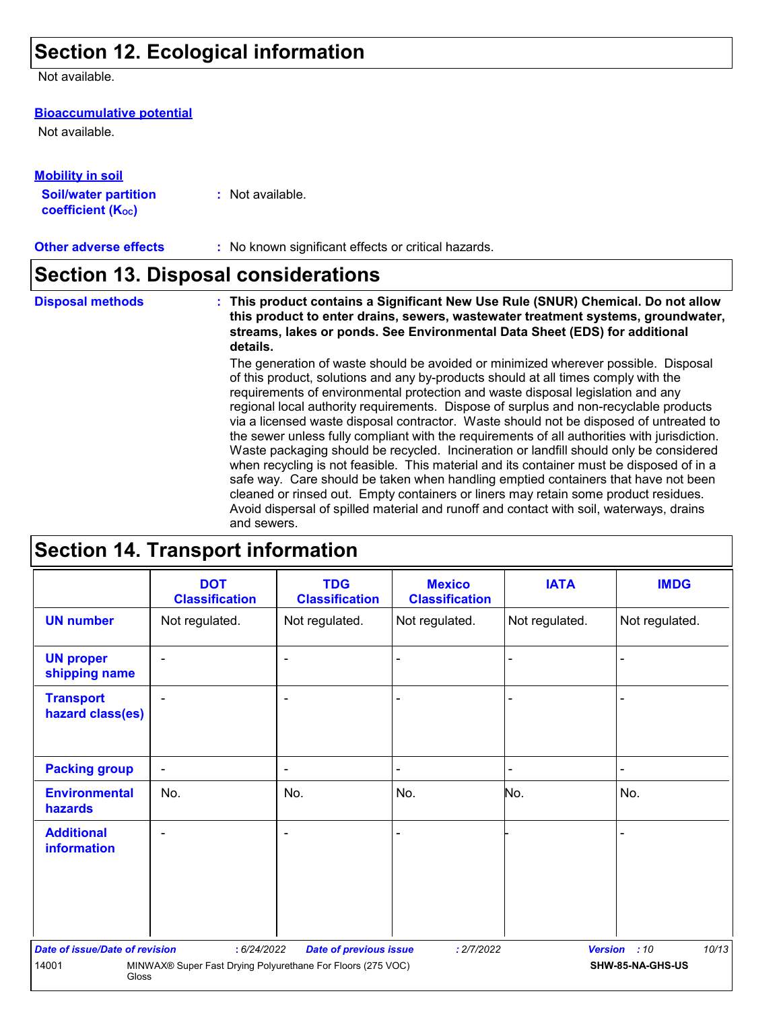# **Section 12. Ecological information**

Not available.

### **Bioaccumulative potential**

Not available.

| <u>Mobility in soil</u>                                 |                  |
|---------------------------------------------------------|------------------|
| <b>Soil/water partition</b><br><b>coefficient (Koc)</b> | : Not available. |

## **Section 13. Disposal considerations**

The generation of waste should be avoided or minimized wherever possible. Disposal **Disposal methods : This product contains a Significant New Use Rule (SNUR) Chemical. Do not allow this product to enter drains, sewers, wastewater treatment systems, groundwater, streams, lakes or ponds. See Environmental Data Sheet (EDS) for additional details.**

of this product, solutions and any by-products should at all times comply with the requirements of environmental protection and waste disposal legislation and any regional local authority requirements. Dispose of surplus and non-recyclable products via a licensed waste disposal contractor. Waste should not be disposed of untreated to the sewer unless fully compliant with the requirements of all authorities with jurisdiction. Waste packaging should be recycled. Incineration or landfill should only be considered when recycling is not feasible. This material and its container must be disposed of in a safe way. Care should be taken when handling emptied containers that have not been cleaned or rinsed out. Empty containers or liners may retain some product residues. Avoid dispersal of spilled material and runoff and contact with soil, waterways, drains and sewers.

## **Section 14. Transport information**

|                                                                                                   | <b>DOT</b><br><b>Classification</b> | <b>TDG</b><br><b>Classification</b> | <b>Mexico</b><br><b>Classification</b> | <b>IATA</b>    | <b>IMDG</b>           |  |  |
|---------------------------------------------------------------------------------------------------|-------------------------------------|-------------------------------------|----------------------------------------|----------------|-----------------------|--|--|
| <b>UN number</b>                                                                                  | Not regulated.                      | Not regulated.                      | Not regulated.                         | Not regulated. | Not regulated.        |  |  |
| <b>UN proper</b><br>shipping name                                                                 | $\overline{\phantom{0}}$            | ٠                                   |                                        |                |                       |  |  |
| <b>Transport</b><br>hazard class(es)                                                              |                                     |                                     |                                        |                |                       |  |  |
| <b>Packing group</b>                                                                              | $\blacksquare$                      | $\sim$                              |                                        | ۰              |                       |  |  |
| <b>Environmental</b><br>hazards                                                                   | No.                                 | No.                                 | No.                                    | No.            | No.                   |  |  |
| <b>Additional</b><br><b>information</b>                                                           |                                     |                                     |                                        |                |                       |  |  |
| <b>Date of issue/Date of revision</b>                                                             | : 6/24/2022                         | <b>Date of previous issue</b>       | : 2/7/2022                             |                | 10/13<br>Version : 10 |  |  |
| MINWAX® Super Fast Drying Polyurethane For Floors (275 VOC)<br>SHW-85-NA-GHS-US<br>14001<br>Gloss |                                     |                                     |                                        |                |                       |  |  |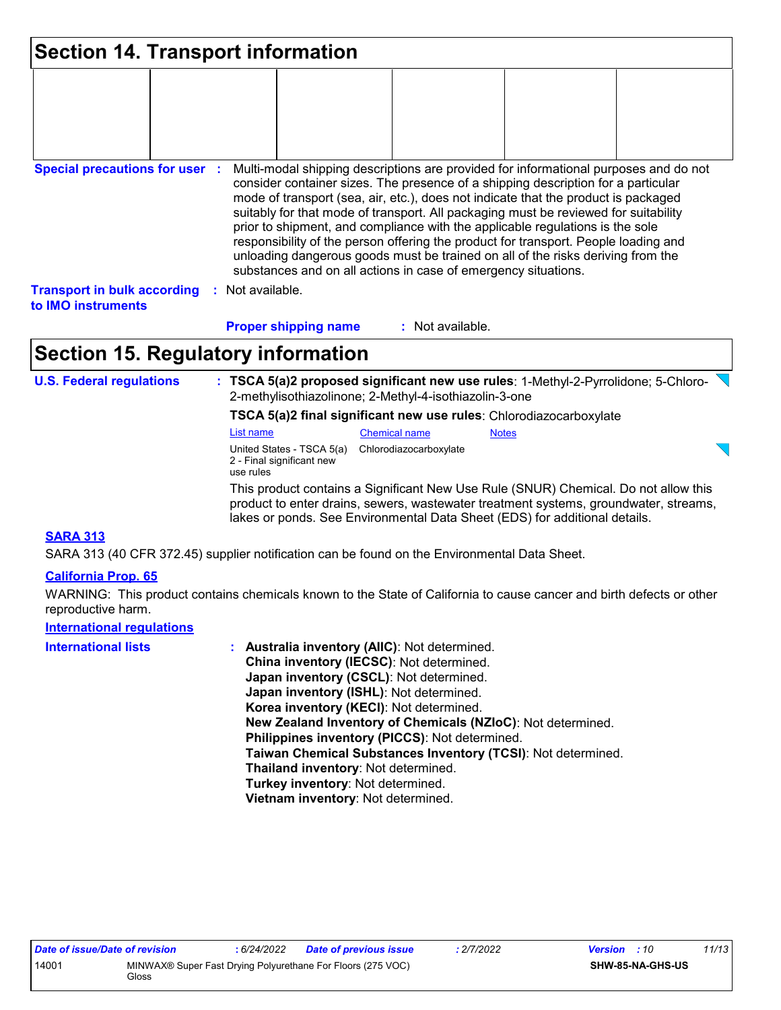| <b>Section 14. Transport information</b>                                                                                                                                                                                                                                                                                                                                                                                                                                                                                                                                                                                                                                                                                     |  |                      |                             |                  |  |  |  |  |
|------------------------------------------------------------------------------------------------------------------------------------------------------------------------------------------------------------------------------------------------------------------------------------------------------------------------------------------------------------------------------------------------------------------------------------------------------------------------------------------------------------------------------------------------------------------------------------------------------------------------------------------------------------------------------------------------------------------------------|--|----------------------|-----------------------------|------------------|--|--|--|--|
|                                                                                                                                                                                                                                                                                                                                                                                                                                                                                                                                                                                                                                                                                                                              |  |                      |                             |                  |  |  |  |  |
| <b>Special precautions for user :</b><br>Multi-modal shipping descriptions are provided for informational purposes and do not<br>consider container sizes. The presence of a shipping description for a particular<br>mode of transport (sea, air, etc.), does not indicate that the product is packaged<br>suitably for that mode of transport. All packaging must be reviewed for suitability<br>prior to shipment, and compliance with the applicable regulations is the sole<br>responsibility of the person offering the product for transport. People loading and<br>unloading dangerous goods must be trained on all of the risks deriving from the<br>substances and on all actions in case of emergency situations. |  |                      |                             |                  |  |  |  |  |
| <b>Transport in bulk according</b><br>to IMO instruments                                                                                                                                                                                                                                                                                                                                                                                                                                                                                                                                                                                                                                                                     |  | Not available.<br>÷. |                             |                  |  |  |  |  |
|                                                                                                                                                                                                                                                                                                                                                                                                                                                                                                                                                                                                                                                                                                                              |  |                      | <b>Proper shipping name</b> | : Not available. |  |  |  |  |

# **Section 15. Regulatory information**

**U.S. Federal regulations : TSCA 5(a)2 proposed significant new use rules**: 1-Methyl-2-Pyrrolidone; 5-Chloro-2-methylisothiazolinone; 2-Methyl-4-isothiazolin-3-one

**TSCA 5(a)2 final significant new use rules**: Chlorodiazocarboxylate

This product contains a Significant New Use Rule (SNUR) Chemical. Do not allow this List name Chemical name Notes United States - TSCA 5(a) Chlorodiazocarboxylate 2 - Final significant new use rules

product to enter drains, sewers, wastewater treatment systems, groundwater, streams, lakes or ponds. See Environmental Data Sheet (EDS) for additional details.

### **SARA 313**

SARA 313 (40 CFR 372.45) supplier notification can be found on the Environmental Data Sheet.

### **California Prop. 65**

WARNING: This product contains chemicals known to the State of California to cause cancer and birth defects or other reproductive harm.

### **International regulations**

| <b>International lists</b> | : Australia inventory (AIIC): Not determined.                |
|----------------------------|--------------------------------------------------------------|
|                            | China inventory (IECSC): Not determined.                     |
|                            | Japan inventory (CSCL): Not determined.                      |
|                            | Japan inventory (ISHL): Not determined.                      |
|                            | Korea inventory (KECI): Not determined.                      |
|                            | New Zealand Inventory of Chemicals (NZIoC): Not determined.  |
|                            | Philippines inventory (PICCS): Not determined.               |
|                            | Taiwan Chemical Substances Inventory (TCSI): Not determined. |
|                            | Thailand inventory: Not determined.                          |
|                            | Turkey inventory: Not determined.                            |
|                            | Vietnam inventory: Not determined.                           |

 $\overline{\phantom{0}}$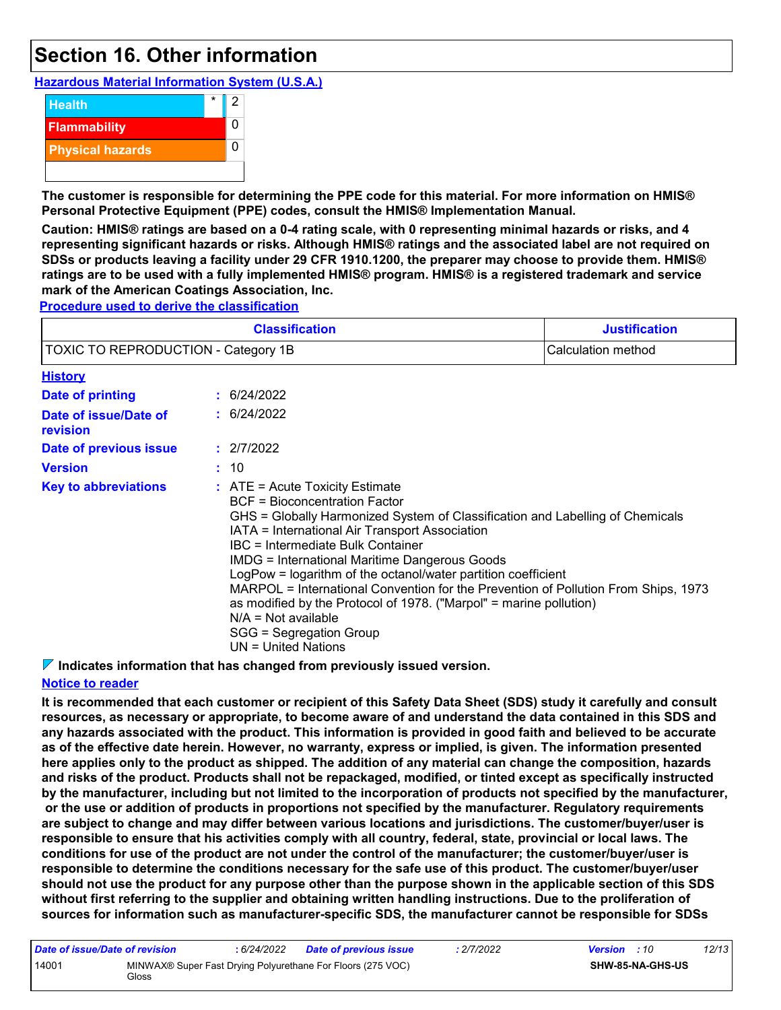# **Section 16. Other information**

**Hazardous Material Information System (U.S.A.)**



**The customer is responsible for determining the PPE code for this material. For more information on HMIS® Personal Protective Equipment (PPE) codes, consult the HMIS® Implementation Manual.**

**Caution: HMIS® ratings are based on a 0-4 rating scale, with 0 representing minimal hazards or risks, and 4 representing significant hazards or risks. Although HMIS® ratings and the associated label are not required on SDSs or products leaving a facility under 29 CFR 1910.1200, the preparer may choose to provide them. HMIS® ratings are to be used with a fully implemented HMIS® program. HMIS® is a registered trademark and service mark of the American Coatings Association, Inc.**

**Procedure used to derive the classification**

|                                     | <b>Justification</b>                                                                                                                                                                                                                                                                                                                                                                                                                                                                                                                                                                                                |  |  |  |  |
|-------------------------------------|---------------------------------------------------------------------------------------------------------------------------------------------------------------------------------------------------------------------------------------------------------------------------------------------------------------------------------------------------------------------------------------------------------------------------------------------------------------------------------------------------------------------------------------------------------------------------------------------------------------------|--|--|--|--|
| TOXIC TO REPRODUCTION - Category 1B | Calculation method                                                                                                                                                                                                                                                                                                                                                                                                                                                                                                                                                                                                  |  |  |  |  |
| <b>History</b>                      |                                                                                                                                                                                                                                                                                                                                                                                                                                                                                                                                                                                                                     |  |  |  |  |
| Date of printing                    | : 6/24/2022                                                                                                                                                                                                                                                                                                                                                                                                                                                                                                                                                                                                         |  |  |  |  |
| Date of issue/Date of<br>revision   | : 6/24/2022                                                                                                                                                                                                                                                                                                                                                                                                                                                                                                                                                                                                         |  |  |  |  |
| Date of previous issue              | : 2/7/2022                                                                                                                                                                                                                                                                                                                                                                                                                                                                                                                                                                                                          |  |  |  |  |
| <b>Version</b>                      | : 10                                                                                                                                                                                                                                                                                                                                                                                                                                                                                                                                                                                                                |  |  |  |  |
| <b>Key to abbreviations</b>         | $\therefore$ ATE = Acute Toxicity Estimate<br>BCF = Bioconcentration Factor<br>GHS = Globally Harmonized System of Classification and Labelling of Chemicals<br>IATA = International Air Transport Association<br>IBC = Intermediate Bulk Container<br><b>IMDG = International Maritime Dangerous Goods</b><br>LogPow = logarithm of the octanol/water partition coefficient<br>MARPOL = International Convention for the Prevention of Pollution From Ships, 1973<br>as modified by the Protocol of 1978. ("Marpol" = marine pollution)<br>$N/A = Not available$<br>SGG = Segregation Group<br>UN = United Nations |  |  |  |  |

**Indicates information that has changed from previously issued version.**

### **Notice to reader**

**It is recommended that each customer or recipient of this Safety Data Sheet (SDS) study it carefully and consult resources, as necessary or appropriate, to become aware of and understand the data contained in this SDS and any hazards associated with the product. This information is provided in good faith and believed to be accurate as of the effective date herein. However, no warranty, express or implied, is given. The information presented here applies only to the product as shipped. The addition of any material can change the composition, hazards and risks of the product. Products shall not be repackaged, modified, or tinted except as specifically instructed by the manufacturer, including but not limited to the incorporation of products not specified by the manufacturer, or the use or addition of products in proportions not specified by the manufacturer. Regulatory requirements are subject to change and may differ between various locations and jurisdictions. The customer/buyer/user is responsible to ensure that his activities comply with all country, federal, state, provincial or local laws. The conditions for use of the product are not under the control of the manufacturer; the customer/buyer/user is responsible to determine the conditions necessary for the safe use of this product. The customer/buyer/user should not use the product for any purpose other than the purpose shown in the applicable section of this SDS without first referring to the supplier and obtaining written handling instructions. Due to the proliferation of sources for information such as manufacturer-specific SDS, the manufacturer cannot be responsible for SDSs** 

| Date of issue/Date of revision |       | : 6/24/2022 | <b>Date of previous issue</b>                               | : 2/7/2022 | <b>Version</b> : 10 |                         | 12/13 |
|--------------------------------|-------|-------------|-------------------------------------------------------------|------------|---------------------|-------------------------|-------|
| 14001                          | Gloss |             | MINWAX® Super Fast Drying Polyurethane For Floors (275 VOC) |            |                     | <b>SHW-85-NA-GHS-US</b> |       |